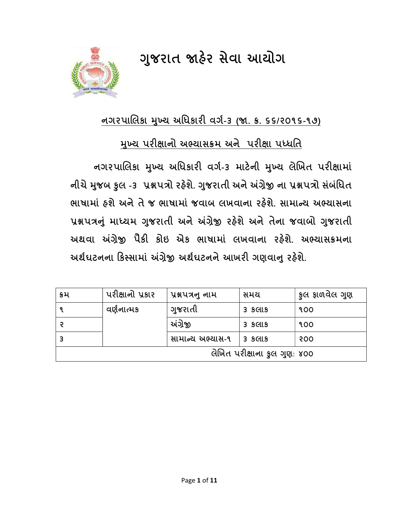# ગુજરાત જાહેર સેવા આયોગ



## નગરપાલકા ȺƉુય અિધકાર વગ½-૩ (Ĥ. ˲. ૬૬/૨૦૧૬-૧૭)

## મુખ્ય પરીક્ષાનો અભ્યાસક્રમ અને પરીક્ષા પધ્ધતિ

નગરપાલિકા મુખ્ય અધિકારી વર્ગ-3 માટેની મુખ્ય લેખિત પરીક્ષામાં નીચે મુજબ કુલ -૩ પ્રશ્નપત્રો રહેશે. ગુજરાતી અને અંગ્રેજી ના પ્રશ્નપત્રો સંબંધિત ભાષામાં હશે અને તે જ ભાષામાં જવાબ લખવાના રહેશે. સામાન્ય અભ્યાસના પ્રશ્નપત્રનું માધ્યમ ગુજરાતી અને અંગ્રેજી રહેશે અને તેના જવાબો ગુજરાતી અથવા અંગ્રેજી પૈકી કોઇ એક ભાષામાં લખવાના રહેશે. અભ્યાસક્રમના અર્થધટનના કિસ્સામાં અંગ્રેજી અર્થઘટનને આખરી ગણવાનુ રહેશે.

| ક્રમ                         | પરીક્ષાનો પ્રકાર | પ્રશ્નપત્રનુ નામ | સમય            | કુલ ફાળવેલ ગુણ |
|------------------------------|------------------|------------------|----------------|----------------|
|                              | વર્ણનાત્મક       | ગુજરાતી          | <b>3 SCLLS</b> | 900            |
|                              |                  | અંગ્રેજી         | <b>3 SGLS</b>  | <b>900</b>     |
|                              |                  | સામાન્ય અભ્યાસ-૧ | 3 કલાક         | 500            |
| લેખિત પરીક્ષાના કુલ ગુણ: ૪૦૦ |                  |                  |                |                |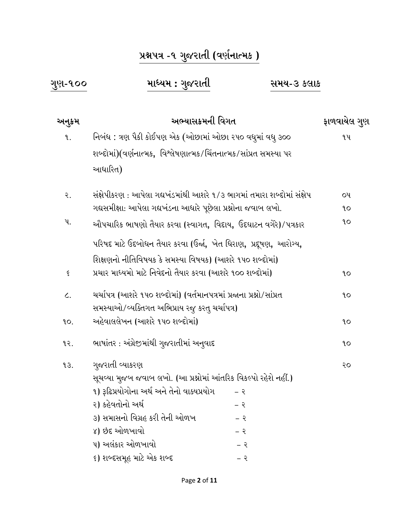# પ્રશ્નપત્ર -૧ ગુજરાતી (વર્ણનાત્મક)

#### <u>ગુણ-૧૦૦ માધ્યમ : ગુજર</u> રાતી સમય-૩ કલાક

| અનુક્રમ        | અભ્યાસક્રમની વિગત                                                       |       | ફાળવાયેલ ગુણ |
|----------------|-------------------------------------------------------------------------|-------|--------------|
| ٩.             | નિબંધ : ત્રણ પૈકી કોઈપણ એક (ઓછામાં ઓછા ૨૫૦ વધુમાં વધુ ૩૦૦               |       | ૧૫           |
|                | શબ્દોમાં)(વર્ણનાત્મક, વિશ્લેષણાત્મક/ચિંતનાત્મક/સાંપ્રત સમસ્યા પર        |       |              |
|                | આધારિત)                                                                 |       |              |
| ર.             | સંક્ષેપીકરણ : આપેલા ગદ્યખંડમાંથી આશરે ૧/૩ ભાગમાં તમારા શબ્દોમાં સંક્ષેપ |       | ΟŲ           |
|                | ગદ્યસમીક્ષા: આપેલા ગદ્યખંડના આધારે પૂછેલા પ્રશ્નોના જવાબ લખો.           |       | ٩o           |
| પ.             | ઔપચારિક ભાષણો તૈયાર કરવા (સ્વાગત, વિદાય, ઉદઘાટન વગેરે)/પત્રકાર          |       | ٩o           |
|                | પરિષદ માટે ઉદબોધન તૈયાર કરવા (ઉર્જા, ખેત ધિરાણ, પ્રદૂષણ, આરોગ્ય,        |       |              |
|                | શિક્ષણનો નીતિવિષયક કે સમસ્યા વિષયક) (આશરે ૧૫૦ શબ્દોમાં)                 |       |              |
| ६              | પ્રચાર માધ્યમો માટે નિવેદનો તૈયાર કરવા (આશરે ૧૦૦ શબ્દોમાં)              |       | ٩o           |
| $\mathcal{L}.$ | ચર્ચાપત્ર (આશરે ૧૫૦ શબ્દોમાં) (વર્તમાનપત્રમાં પ્રજાના પ્રશ્નો/સાંપ્રત   |       | ٩o           |
|                | સમસ્યાઓ/વ્યક્તિગત અભિપ્રાય રજુ કરતુ ચર્ચાપત્ર)                          |       |              |
| 90.            | અહેવાલલેખન (આશરે ૧૫૦ શબ્દોમાં)                                          |       | ٩o           |
| १२.            | ભાષાંતર : અંગ્રેજીમાંથી ગુજરાતીમાં અનુવાદ                               |       | ٩o           |
| 93.            | ગુજરાતી વ્યાકરણ                                                         |       | २०           |
|                | સૂચવ્યા મુજબ જવાબ લખો. (આ પ્રશ્નોમાં આંતરિક વિકલ્પો રહેશે નહીં.)        |       |              |
|                | ૧) રૂઢિપ્રયોગોના અર્થ અને તેનો વાક્યપ્રયોગ                              | $-$ २ |              |
|                | ૨) કહેવતોનો અર્થ                                                        | – ૨   |              |
|                | ૩) સમાસનો વિગ્રહ કરી તેની ઓળખ                                           | – ર   |              |
|                | ૪) છંદ ઓળખાવો                                                           | – ર   |              |
|                | ૫) અલંકાર ઓળખાવો                                                        | — ર   |              |
|                | ૬) શબ્દસમૂહ માટે એક શબ્દ                                                | — ર   |              |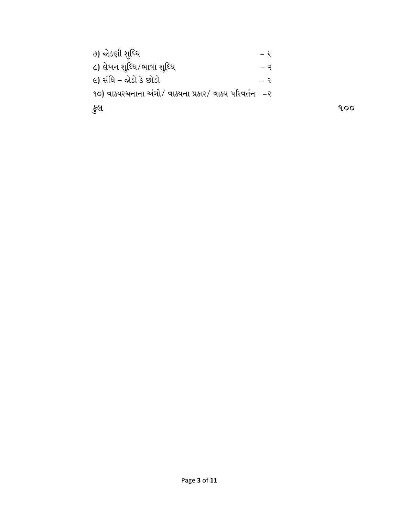#### Page 3 of 11

| ૭) જોડણી શૃધ <mark>્</mark> ધિ                            | $-$ રે      |      |
|-----------------------------------------------------------|-------------|------|
| ૮) લેખન શુધ્ધિ/ભાષા શુધ્ધિ                                | $-$ રે      |      |
| ૯) સંધિ – જોડો કે છોડો                                    | $ \partial$ |      |
| ૧૦) વાક્યરચનાના અંગો/ વાક્યના પ્રકાર/ વાક્ય પરિવર્તન   –૨ |             |      |
| ુકુલ                                                      |             | 9.00 |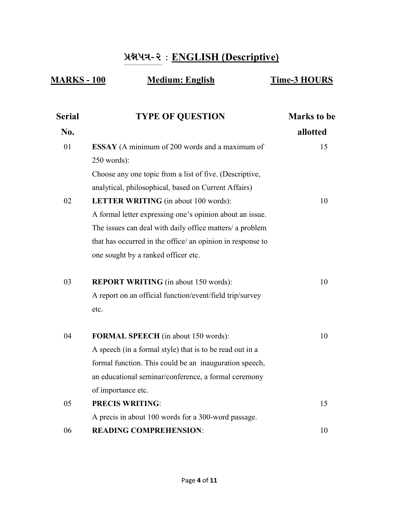# પ્રશ્નપત્ર-૨ : ENGLISH (Descriptive)

## MARKS - 100 Medium: English Time-3 HOURS

| <b>Serial</b> | <b>TYPE OF QUESTION</b>                                    | <b>Marks to be</b> |
|---------------|------------------------------------------------------------|--------------------|
| No.           |                                                            | allotted           |
| 01            | ESSAY (A minimum of 200 words and a maximum of             | 15                 |
|               | 250 words):                                                |                    |
|               | Choose any one topic from a list of five. (Descriptive,    |                    |
|               | analytical, philosophical, based on Current Affairs)       |                    |
| 02            | <b>LETTER WRITING</b> (in about 100 words):                | 10                 |
|               | A formal letter expressing one's opinion about an issue.   |                    |
|               | The issues can deal with daily office matters/ a problem   |                    |
|               | that has occurred in the office/ an opinion in response to |                    |
|               | one sought by a ranked officer etc.                        |                    |
| 03            | <b>REPORT WRITING</b> (in about 150 words):                | 10                 |
|               | A report on an official function/event/field trip/survey   |                    |
|               | etc.                                                       |                    |
| 04            | <b>FORMAL SPEECH</b> (in about 150 words):                 | 10                 |
|               | A speech (in a formal style) that is to be read out in a   |                    |
|               | formal function. This could be an inauguration speech,     |                    |
|               | an educational seminar/conference, a formal ceremony       |                    |
|               | of importance etc.                                         |                    |
| 05            | <b>PRECIS WRITING:</b>                                     | 15                 |
|               | A precis in about 100 words for a 300-word passage.        |                    |
| 06            | <b>READING COMPREHENSION:</b>                              | 10                 |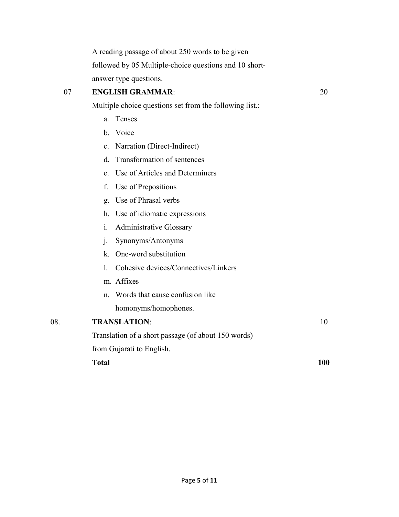A reading passage of about 250 words to be given followed by 05 Multiple-choice questions and 10 shortanswer type questions.

#### 07 ENGLISH GRAMMAR:

Multiple choice questions set from the following list.:

20

- a. Tenses
- b. Voice
- c. Narration (Direct-Indirect)
- d. Transformation of sentences
- e. Use of Articles and Determiners
- f. Use of Prepositions
- g. Use of Phrasal verbs
- h. Use of idiomatic expressions
- i. Administrative Glossary
- j. Synonyms/Antonyms
- k. One-word substitution
- l. Cohesive devices/Connectives/Linkers
- m. Affixes
- n. Words that cause confusion like
	- homonyms/homophones.

| 08. | <b>TRANSLATION:</b>                                 | 10  |
|-----|-----------------------------------------------------|-----|
|     | Translation of a short passage (of about 150 words) |     |
|     | from Gujarati to English.                           |     |
|     | <b>Total</b>                                        | 100 |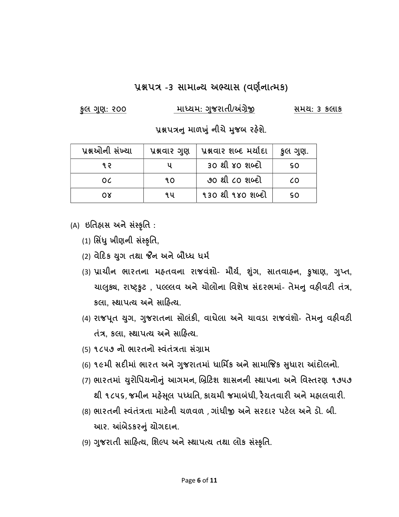### પ્રશ્નપત્ર -૩ સામાન્ય અભ્યાસ (વર્ણનાત્મક)

| <u>કુલ ગુણ: ૨૦૦</u> | માધ્યમ: ગુજરાતી/અંગ્રેજી | સમય: 3 કલાક |
|---------------------|--------------------------|-------------|
|                     |                          |             |

પ્રશ્નપત્રનુ માળખું નીચે મુજબ રહેશે.

| પ્રશ્નઓની સંખ્યા | પ્રશ્નવાર ગુણ | પ્રશ્નવાર શબ્દ મર્યાદા | કૂલ ગુણ. |
|------------------|---------------|------------------------|----------|
| ۹ ၃              |               | ૩૦ થી ૪૦ શબ્દો         | 90       |
| OC.              | 90            | ૭૦ થી ૮૦ શબ્દો         | 60       |
| 0X               | ٩u            | 130 થી 180 શબ્દો       | 90       |

(A) ઇતિહાસ અને સંસ્કૃતિ :

(1) સિંધુ ખીણની સંસ્કૃતિ,

(2) વેદિક યુગ તથા જૈન અને બૌધ્ધ ધર્મ

- (3) પ્રાચીન ભારતના મહતવના રાજવંશો- મૌર્ય, શુંગ, સાતવાહન, કુષાણ, ગુપ્ત, ચાલુક્ય, રાષ્ટ્કુટ , પલ્લ્લવ અને ચોલોના વિશેષ સંદરભમાં- તેમનુ વહીવટી તંત્ર, કલા. સ્થાપત્ય અને સાહિત્ય.
- (4) રાજપૂત યુગ, ગુજરાતના સોલંકી, વાઘેલા અને ચાવડા રાજવંશો- તેમનુ વહીવટી તંત્ર, કલા, સ્થાપત્ય અને સાહિત્ય.

(5) ૧૮૫૭ નો ભારતનો સ્વંતંત્રતા સંગ્રામ

- (6) ૧૯મી સદીમાં ભારત અને ગુજરાતમાં ધાર્મિક અને સામાજિક સુધારા આંદોલનો.
- (7) ભારતમાં યુરોપિયનોનું આગમન, બ્રિટિશ શાસનની સ્થાપના અને વિસ્તરણ ૧૭૫૭ થી ૧૮૫૬, જમીન મહેસૂલ પધ્ધતિ, કાયમી જમાબંધી, રૈયતવારી અને મહાલવારી.
- (8) ભારતની સ્વંતંત્રતા માટેની ચળવળ , ગાંધીજી અને સરદાર પટેલ અને ડો. બી. આર. ӕબેડકરȵંુયોગદાન.
- (9) ગુજરાતી સાહિત્ય, શિલ્પ અને સ્થાપત્ય તથા લોક સંસ્કૃતિ.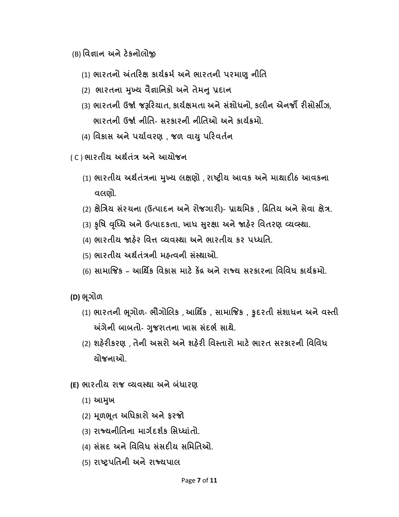(B) વિજ્ઞાન અને ટેકનોલોજી

- (1) ભારતનો અંતરિક્ષ કાર્યક્રમ્ અને ભારતની પરમાણુ નીતિ
- (2) ભારતના મુખ્ય વૈજ્ઞાનિકો અને તેમનુ પ્રદાન
- (3) ભારતની ઉર્જા જરૂરિયાત, કાર્યક્ષમતા અને સંશોધનો, કલીન એનર્જી રીસોર્સીઝ, ભારતની ઉર્જા નીતિ- સરકારની નીતિઓ અને કાર્યક્રમો.
- (4) વિકાસ અને પર્યાવરણ , જળ વાયુ પરિવર્તન
- ( C ) ભારતીય અથ½તં́ અનેઆયોજન
	- (1) ભારતીય અર્થતંત્રના મુખ્ય લક્ષણો , રાષ્ટ્રીય આવક અને માથાદીઠ આવકના વલણો.
	- (2) ક્ષેત્રિય સંરચના (ઉત્પાદન અને રોજગારી)- પ્રાથમિક , દ્રિતિય અને સેવા ક્ષેત્ર.
	- (3) કૃષિ વૃધ્ધિ અને ઉત્પાદકતા, ખાધ સુરક્ષા અને જાહેર વિતરણ વ્યવ્સ્થા.
	- (4) ભારતીય જાહેર વિત્ત વ્યવસ્થા અને ભારતીય કર પધ્ધતિ.
	- (5) ભારતીય અર્થતંત્રની મહ્ત્વની સંસ્થાઓ.
	- (6) સામાજિક આર્થિક વિકાસ માટે કેંદ્ર અને રાજ્ય સરકારના વિવિધ કાર્યક્રમો.

(D) ભુગીળ

- (1) ભારતની ભૂગોળ- ભૌગોલિક , આર્થિક , સામાજિક , કુદરતી સંશાધન અને વસ્તી અંગેની બાબતો- ગુજરાતના ખાસ સંદર્ભ સાથે.
- (2) શહેરીકરણ , તેની અસરો અને શહેરી વિસ્તારો માટે ભારત સરકારની વિવિધ યોજનાઓ.
- (E) ભારતીય રાજ વ્યવસ્થા અને બંધારણ
	- (1) આȺખુ
	- (2) મૂળભૂત અધિકારો અને ફરજો
	- (3) રાજ્યનીતિના માર્ગદર્શક સિધ્ધાંતો.
	- (4) સંસદ અને વિવિધ સંસદીય સમિતિઓ.
	- (5) રાƧ˼પિતની અનેરાԌયપાલ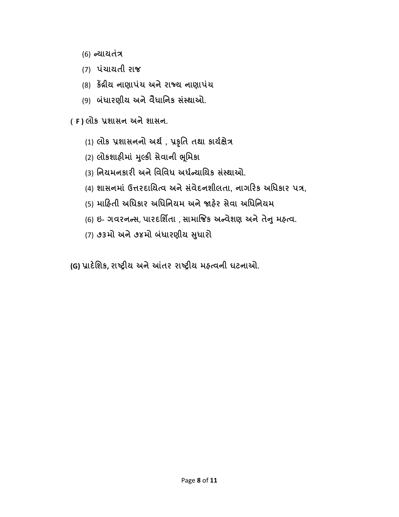- (6) ન્યાયતંત્ર
- (7) પચં ાયતી રાજ
- (8) કેંદ્રીય નાણાપંચ અને રાજ્ય નાણાપંચ
- (9) બંધારણીય અને વૈધાનિક સંસ્થાઓ.
- ( F ) લોક ̆શાસન અનેશાસન.
	- (1) લોક પ્રશાસનનો અર્થ, પ્રકૃતિ તથા કાર્યક્ષેત્ર
	- (2) લોકશાહીમાં મુલ્કી સેવાની ભૂમિકા
	- (3) નિયમનકારી અને વિવિધ અર્ધન્યાયિક સંસ્થાઓ.
	- (4) શાસનમાં ઉત્તરદાયિત્વ અને સંવેદનશીલતા, નાગરિક અધિકાર પત્ર,
	- (5) માહિતી અધિકાર અધિનિયમ અને જાહેર સેવા અધિનિયમ
	- (6) ઇ- ગવરનન્સ, પારદર્શિતા , સામાજિક અન્વેશણ અને તેનુ મહ્ત્વ.
	- (7) ૭૩મો અને ૭૪મો બંધારણીય સુધારો

(G) પ્રાદેશિક, રાષ્ટ્રીય અને આંતર રાષ્ટ્રીય મહ્ત્વની ઘટનાઓ.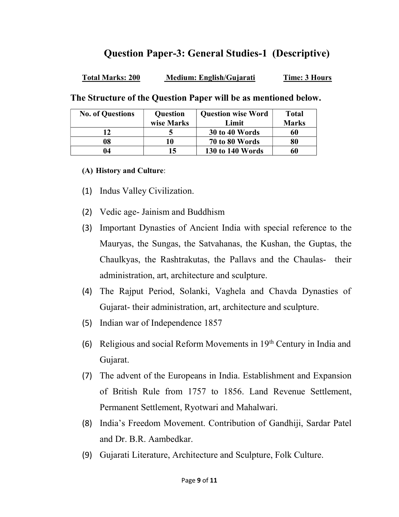## Question Paper-3: General Studies-1 (Descriptive)

| <b>Total Marks: 200</b> | Medium: English/Gujarati | Time: 3 Hours |
|-------------------------|--------------------------|---------------|
|                         |                          |               |

The Structure of the Question Paper will be as mentioned below.

| <b>No. of Questions</b> | <b>Question</b><br>wise Marks | <b>Question wise Word</b><br>Limit | <b>Total</b><br><b>Marks</b> |
|-------------------------|-------------------------------|------------------------------------|------------------------------|
| 17                      |                               | 30 to 40 Words                     | 60                           |
| 08                      | 10                            | 70 to 80 Words                     | 80                           |
| 04                      | 15                            | 130 to 140 Words                   | 60                           |

#### (A) History and Culture:

- (1) Indus Valley Civilization.
- (2) Vedic age- Jainism and Buddhism
- (3) Important Dynasties of Ancient India with special reference to the Mauryas, the Sungas, the Satvahanas, the Kushan, the Guptas, the Chaulkyas, the Rashtrakutas, the Pallavs and the Chaulas- their administration, art, architecture and sculpture.
- (4) The Rajput Period, Solanki, Vaghela and Chavda Dynasties of Gujarat- their administration, art, architecture and sculpture.
- (5) Indian war of Independence 1857
- (6) Religious and social Reform Movements in  $19<sup>th</sup>$  Century in India and Gujarat.
- (7) The advent of the Europeans in India. Establishment and Expansion of British Rule from 1757 to 1856. Land Revenue Settlement, Permanent Settlement, Ryotwari and Mahalwari.
- (8) India's Freedom Movement. Contribution of Gandhiji, Sardar Patel and Dr. B.R. Aambedkar.
- (9) Gujarati Literature, Architecture and Sculpture, Folk Culture.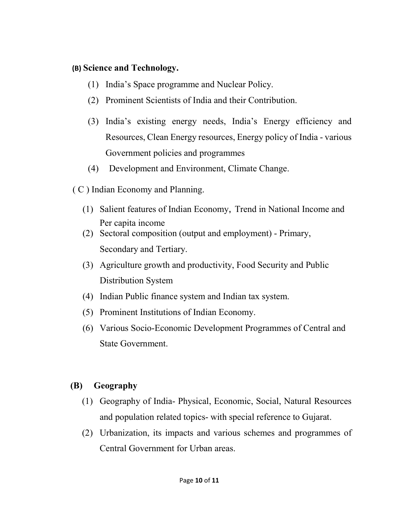### (B) Science and Technology.

- (1) India's Space programme and Nuclear Policy.
- (2) Prominent Scientists of India and their Contribution.
- (3) India's existing energy needs, India's Energy efficiency and Resources, Clean Energy resources, Energy policy of India - various Government policies and programmes
- (4) Development and Environment, Climate Change.
- ( C ) Indian Economy and Planning.
	- (1) Salient features of Indian Economy, Trend in National Income and Per capita income
	- (2) Sectoral composition (output and employment) Primary, Secondary and Tertiary.
	- (3) Agriculture growth and productivity, Food Security and Public Distribution System
	- (4) Indian Public finance system and Indian tax system.
	- (5) Prominent Institutions of Indian Economy.
	- (6) Various Socio-Economic Development Programmes of Central and State Government.

## (B) Geography

- (1) Geography of India- Physical, Economic, Social, Natural Resources and population related topics- with special reference to Gujarat.
- (2) Urbanization, its impacts and various schemes and programmes of Central Government for Urban areas.